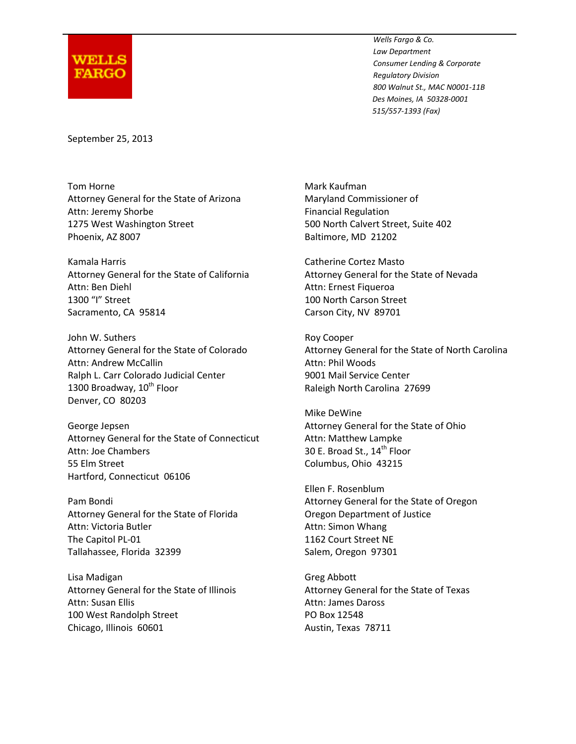

*Wells Fargo & Co. Law Department Consumer Lending & Corporate Regulatory Division 800 Walnut St., MAC N0001-11B Des Moines, IA 50328-0001 515/557-1393 (Fax)*

September 25, 2013

Tom Horne **Mark Kaufman** Attorney General for the State of Arizona Maryland Commissioner of Attn: Jeremy Shorbe **Financial Regulation** 1275 West Washington Street 500 North Calvert Street, Suite 402 Phoenix, AZ 8007 Baltimore, MD 21202

Kamala Harris Catherine Cortez Masto Attorney General for the State of California Attorney General for the State of Nevada Attn: Ben Diehl **Attn: Ernest Figueroa** 1300 "I" Street 100 North Carson Street Sacramento, CA 95814 Carson City, NV 89701

John W. Suthers **Roy Cooper** Roy Cooper Attn: Andrew McCallin and Attn: Phil Woods Ralph L. Carr Colorado Judicial Center **9001 Mail Service Center** 1300 Broadway, 10<sup>th</sup> Floor Raleigh North Carolina 27699 Denver, CO 80203

George Jepsen **Attorney General for the State of Ohio George** Jepsen Attorney General for the State of Ohio Attorney General for the State of Connecticut Attn: Matthew Lampke Attn: Joe Chambers 20 E. Broad St., 14<sup>th</sup> Floor 55 Elm Street Columbus, Ohio 43215 Hartford, Connecticut 06106

Attorney General for the State of Florida Oregon Department of Justice Attn: Victoria Butler **Attn:** Simon Whang The Capitol PL-01 1162 Court Street NE Tallahassee, Florida 32399 Salem, Oregon 97301

Lisa Madigan Greg Abbott Attorney General for the State of Illinois Attorney General for the State of Texas Attn: Susan Ellis Attn: James Daross 100 West Randolph Street PO Box 12548 Chicago, Illinois 60601 **Austin**, Texas 78711

Attorney General for the State of Colorado Attorney General for the State of North Carolina

Mike DeWine

Ellen F. Rosenblum Pam Bondi Attorney General for the State of Oregon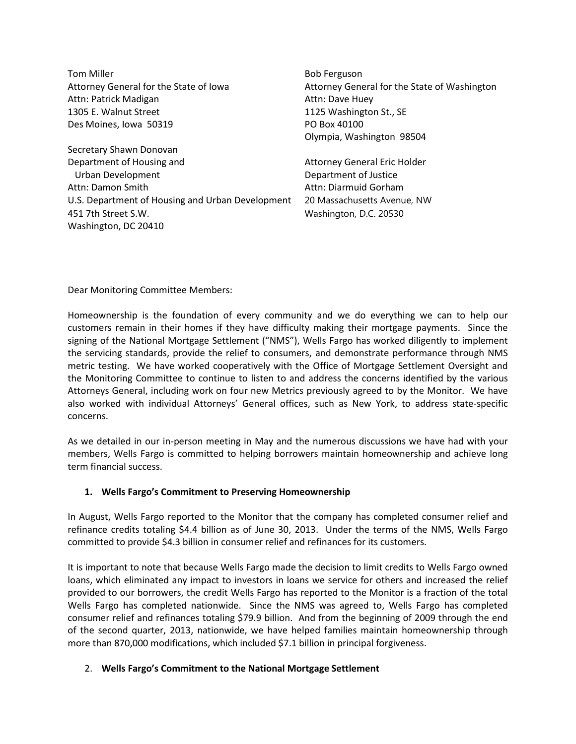Tom Miller **Bob Ferguson** Attorney General for the State of Iowa Attorney General for the State of Washington Attn: Patrick Madigan Attn: Dave Huey 1305 E. Walnut Street 1125 Washington St., SE Des Moines, Iowa 50319 PO Box 40100 Olympia, Washington 98504 Secretary Shawn Donovan Department of Housing and **Attorney General Eric Holder** Urban Development **Department of Justice** Attn: Damon Smith Attn: Diarmuid Gorham U.S. Department of Housing and Urban Development 20 Massachusetts Avenue, NW 451 7th Street S.W. Washington, D.C. 20530 Washington, DC 20410

Dear Monitoring Committee Members:

Homeownership is the foundation of every community and we do everything we can to help our customers remain in their homes if they have difficulty making their mortgage payments. Since the signing of the National Mortgage Settlement ("NMS"), Wells Fargo has worked diligently to implement the servicing standards, provide the relief to consumers, and demonstrate performance through NMS metric testing. We have worked cooperatively with the Office of Mortgage Settlement Oversight and the Monitoring Committee to continue to listen to and address the concerns identified by the various Attorneys General, including work on four new Metrics previously agreed to by the Monitor. We have also worked with individual Attorneys' General offices, such as New York, to address state-specific concerns.

As we detailed in our in-person meeting in May and the numerous discussions we have had with your members, Wells Fargo is committed to helping borrowers maintain homeownership and achieve long term financial success.

## **1. Wells Fargo's Commitment to Preserving Homeownership**

In August, Wells Fargo reported to the Monitor that the company has completed consumer relief and refinance credits totaling \$4.4 billion as of June 30, 2013. Under the terms of the NMS, Wells Fargo committed to provide \$4.3 billion in consumer relief and refinances for its customers.

It is important to note that because Wells Fargo made the decision to limit credits to Wells Fargo owned loans, which eliminated any impact to investors in loans we service for others and increased the relief provided to our borrowers, the credit Wells Fargo has reported to the Monitor is a fraction of the total Wells Fargo has completed nationwide. Since the NMS was agreed to, Wells Fargo has completed consumer relief and refinances totaling \$79.9 billion. And from the beginning of 2009 through the end of the second quarter, 2013, nationwide, we have helped families maintain homeownership through more than 870,000 modifications, which included \$7.1 billion in principal forgiveness.

## 2. **Wells Fargo's Commitment to the National Mortgage Settlement**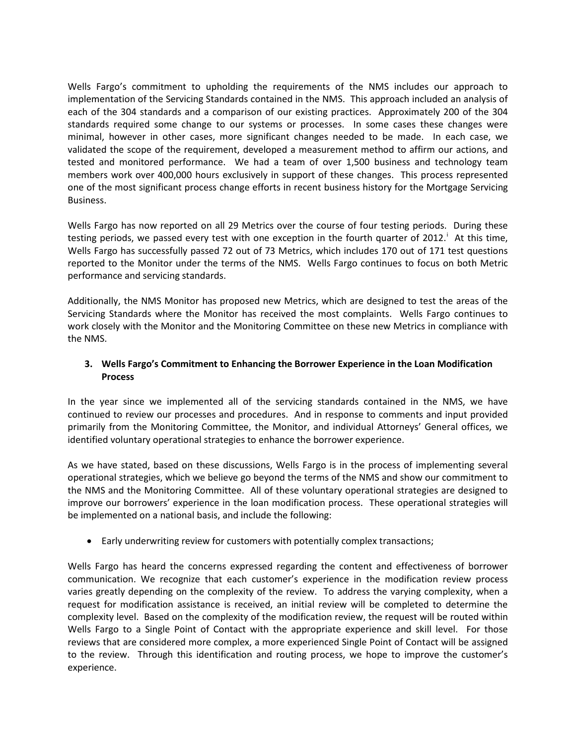Wells Fargo's commitment to upholding the requirements of the NMS includes our approach to implementation of the Servicing Standards contained in the NMS. This approach included an analysis of each of the 304 standards and a comparison of our existing practices. Approximately 200 of the 304 standards required some change to our systems or processes. In some cases these changes were minimal, however in other cases, more significant changes needed to be made. In each case, we validated the scope of the requirement, developed a measurement method to affirm our actions, and tested and monitored performance. We had a team of over 1,500 business and technology team members work over 400,000 hours exclusively in support of these changes. This process represented one of the most significant process change efforts in recent business history for the Mortgage Servicing Business.

Wells Fargo has now reported on all 29 Metrics over the course of four testing periods. During these test[i](#page--1-0)ng periods, we passed every test with one exception in the fourth quarter of 2012.<sup>1</sup> At this time, Wells Fargo has successfully passed 72 out of 73 Metrics, which includes 170 out of 171 test questions reported to the Monitor under the terms of the NMS. Wells Fargo continues to focus on both Metric performance and servicing standards.

Additionally, the NMS Monitor has proposed new Metrics, which are designed to test the areas of the Servicing Standards where the Monitor has received the most complaints. Wells Fargo continues to work closely with the Monitor and the Monitoring Committee on these new Metrics in compliance with the NMS.

## **3. Wells Fargo's Commitment to Enhancing the Borrower Experience in the Loan Modification Process**

In the year since we implemented all of the servicing standards contained in the NMS, we have continued to review our processes and procedures. And in response to comments and input provided primarily from the Monitoring Committee, the Monitor, and individual Attorneys' General offices, we identified voluntary operational strategies to enhance the borrower experience.

As we have stated, based on these discussions, Wells Fargo is in the process of implementing several operational strategies, which we believe go beyond the terms of the NMS and show our commitment to the NMS and the Monitoring Committee. All of these voluntary operational strategies are designed to improve our borrowers' experience in the loan modification process. These operational strategies will be implemented on a national basis, and include the following:

• Early underwriting review for customers with potentially complex transactions;

Wells Fargo has heard the concerns expressed regarding the content and effectiveness of borrower communication. We recognize that each customer's experience in the modification review process varies greatly depending on the complexity of the review. To address the varying complexity, when a request for modification assistance is received, an initial review will be completed to determine the complexity level. Based on the complexity of the modification review, the request will be routed within Wells Fargo to a Single Point of Contact with the appropriate experience and skill level. For those reviews that are considered more complex, a more experienced Single Point of Contact will be assigned to the review. Through this identification and routing process, we hope to improve the customer's experience.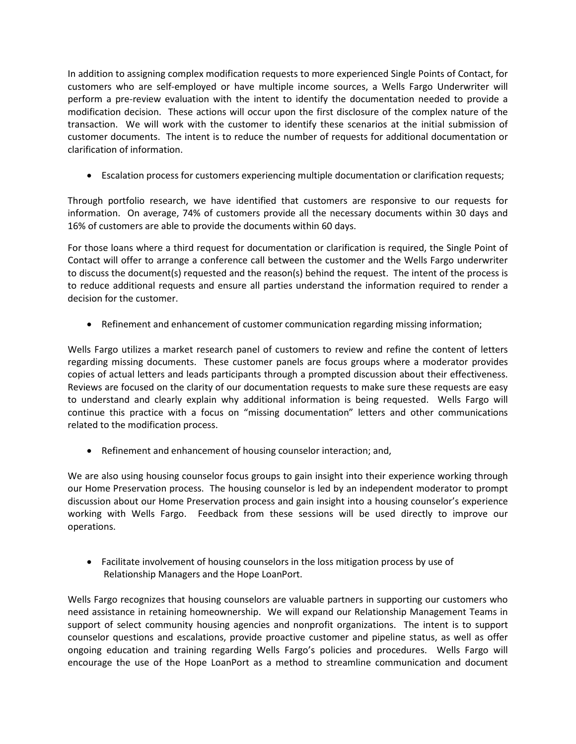In addition to assigning complex modification requests to more experienced Single Points of Contact, for customers who are self-employed or have multiple income sources, a Wells Fargo Underwriter will perform a pre-review evaluation with the intent to identify the documentation needed to provide a modification decision. These actions will occur upon the first disclosure of the complex nature of the transaction. We will work with the customer to identify these scenarios at the initial submission of customer documents. The intent is to reduce the number of requests for additional documentation or clarification of information.

• Escalation process for customers experiencing multiple documentation or clarification requests;

Through portfolio research, we have identified that customers are responsive to our requests for information. On average, 74% of customers provide all the necessary documents within 30 days and 16% of customers are able to provide the documents within 60 days.

For those loans where a third request for documentation or clarification is required, the Single Point of Contact will offer to arrange a conference call between the customer and the Wells Fargo underwriter to discuss the document(s) requested and the reason(s) behind the request. The intent of the process is to reduce additional requests and ensure all parties understand the information required to render a decision for the customer.

• Refinement and enhancement of customer communication regarding missing information;

Wells Fargo utilizes a market research panel of customers to review and refine the content of letters regarding missing documents. These customer panels are focus groups where a moderator provides copies of actual letters and leads participants through a prompted discussion about their effectiveness. Reviews are focused on the clarity of our documentation requests to make sure these requests are easy to understand and clearly explain why additional information is being requested. Wells Fargo will continue this practice with a focus on "missing documentation" letters and other communications related to the modification process.

• Refinement and enhancement of housing counselor interaction; and,

We are also using housing counselor focus groups to gain insight into their experience working through our Home Preservation process. The housing counselor is led by an independent moderator to prompt discussion about our Home Preservation process and gain insight into a housing counselor's experience working with Wells Fargo. Feedback from these sessions will be used directly to improve our operations.

• Facilitate involvement of housing counselors in the loss mitigation process by use of Relationship Managers and the Hope LoanPort.

Wells Fargo recognizes that housing counselors are valuable partners in supporting our customers who need assistance in retaining homeownership. We will expand our Relationship Management Teams in support of select community housing agencies and nonprofit organizations. The intent is to support counselor questions and escalations, provide proactive customer and pipeline status, as well as offer ongoing education and training regarding Wells Fargo's policies and procedures. Wells Fargo will encourage the use of the Hope LoanPort as a method to streamline communication and document